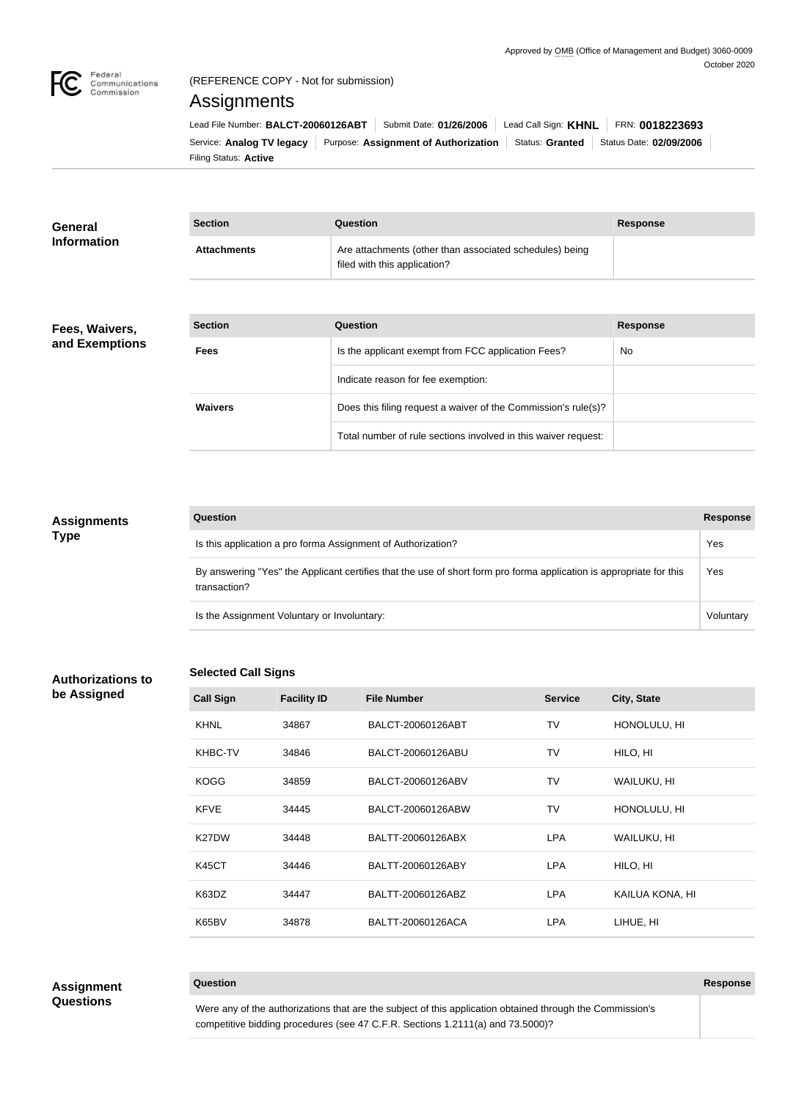

# (REFERENCE COPY - Not for submission)

## Assignments

Filing Status: **Active** Service: Analog TV legacy Purpose: Assignment of Authorization Status: Granted Status Date: 02/09/2006 Lead File Number: BALCT-20060126ABT | Submit Date: 01/26/2006 | Lead Call Sign: KHNL | FRN: 0018223693

| <b>General</b>     | <b>Section</b>     | Question                                                                                | <b>Response</b> |
|--------------------|--------------------|-----------------------------------------------------------------------------------------|-----------------|
| <b>Information</b> | <b>Attachments</b> | Are attachments (other than associated schedules) being<br>filed with this application? |                 |

## **Fees, Waivers, and Exemptions**

| <b>Section</b> | Question                                                       | <b>Response</b> |
|----------------|----------------------------------------------------------------|-----------------|
| <b>Fees</b>    | Is the applicant exempt from FCC application Fees?             | <b>No</b>       |
|                | Indicate reason for fee exemption:                             |                 |
| <b>Waivers</b> | Does this filing request a waiver of the Commission's rule(s)? |                 |
|                | Total number of rule sections involved in this waiver request: |                 |

## **Assignments Type**

| Question                                                                                                                            | <b>Response</b> |
|-------------------------------------------------------------------------------------------------------------------------------------|-----------------|
| Is this application a pro forma Assignment of Authorization?                                                                        | Yes             |
| By answering "Yes" the Applicant certifies that the use of short form pro forma application is appropriate for this<br>transaction? | Yes             |
| Is the Assignment Voluntary or Involuntary:                                                                                         | Voluntary       |

## **Authorizations to be Assigned**

## **Selected Call Signs**

|                    | <b>OCICULCU UAII OIYIIS</b> |                    |                |                 |
|--------------------|-----------------------------|--------------------|----------------|-----------------|
| <b>Call Sign</b>   | <b>Facility ID</b>          | <b>File Number</b> | <b>Service</b> | City, State     |
| <b>KHNL</b>        | 34867                       | BALCT-20060126ABT  | TV             | HONOLULU, HI    |
| <b>KHBC-TV</b>     | 34846                       | BALCT-20060126ABU  | TV             | HILO, HI        |
| <b>KOGG</b>        | 34859                       | BALCT-20060126ABV  | TV             | WAILUKU, HI     |
| <b>KFVE</b>        | 34445                       | BALCT-20060126ABW  | TV             | HONOLULU, HI    |
| K <sub>27</sub> DW | 34448                       | BALTT-20060126ABX  | <b>LPA</b>     | WAILUKU, HI     |
| <b>K45CT</b>       | 34446                       | BALTT-20060126ABY  | <b>LPA</b>     | HILO, HI        |
| K63DZ              | 34447                       | BALTT-20060126ABZ  | <b>LPA</b>     | KAILUA KONA, HI |

## **Assignment Questions**

Were any of the authorizations that are the subject of this application obtained through the Commission's competitive bidding procedures (see 47 C.F.R. Sections 1.2111(a) and 73.5000)?

K65BV 34878 BALTT-20060126ACA LPA LIHUE, HI

**Question Response**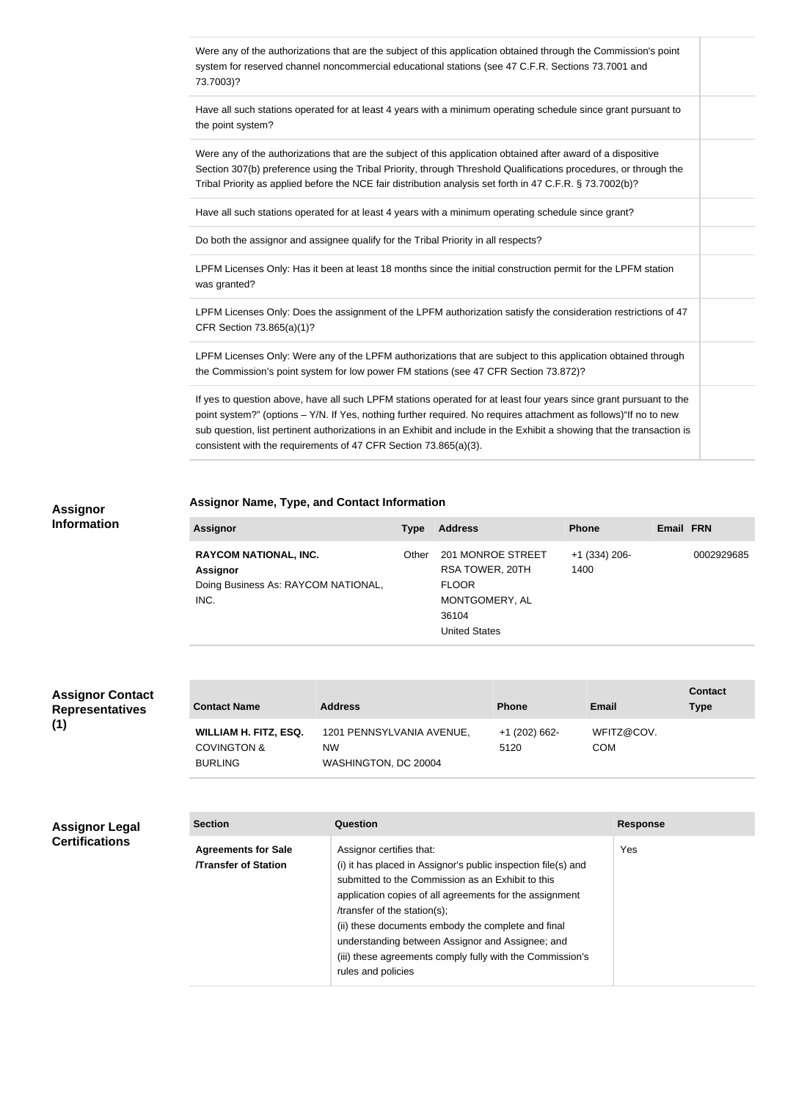| Were any of the authorizations that are the subject of this application obtained through the Commission's point<br>system for reserved channel noncommercial educational stations (see 47 C.F.R. Sections 73.7001 and<br>73.7003)?                                                                                                                                                                                                   |  |
|--------------------------------------------------------------------------------------------------------------------------------------------------------------------------------------------------------------------------------------------------------------------------------------------------------------------------------------------------------------------------------------------------------------------------------------|--|
| Have all such stations operated for at least 4 years with a minimum operating schedule since grant pursuant to<br>the point system?                                                                                                                                                                                                                                                                                                  |  |
| Were any of the authorizations that are the subject of this application obtained after award of a dispositive<br>Section 307(b) preference using the Tribal Priority, through Threshold Qualifications procedures, or through the<br>Tribal Priority as applied before the NCE fair distribution analysis set forth in 47 C.F.R. § 73.7002(b)?                                                                                       |  |
| Have all such stations operated for at least 4 years with a minimum operating schedule since grant?                                                                                                                                                                                                                                                                                                                                  |  |
| Do both the assignor and assignee qualify for the Tribal Priority in all respects?                                                                                                                                                                                                                                                                                                                                                   |  |
| LPFM Licenses Only: Has it been at least 18 months since the initial construction permit for the LPFM station<br>was granted?                                                                                                                                                                                                                                                                                                        |  |
| LPFM Licenses Only: Does the assignment of the LPFM authorization satisfy the consideration restrictions of 47<br>CFR Section 73.865(a)(1)?                                                                                                                                                                                                                                                                                          |  |
| LPFM Licenses Only: Were any of the LPFM authorizations that are subject to this application obtained through<br>the Commission's point system for low power FM stations (see 47 CFR Section 73.872)?                                                                                                                                                                                                                                |  |
| If yes to question above, have all such LPFM stations operated for at least four years since grant pursuant to the<br>point system?" (options - Y/N. If Yes, nothing further required. No requires attachment as follows)"If no to new<br>sub question, list pertinent authorizations in an Exhibit and include in the Exhibit a showing that the transaction is<br>consistent with the requirements of 47 CFR Section 73.865(a)(3). |  |

## **Assignor Name, Type, and Contact Information**

### **Assignor Information**

| <b>Assignor</b>                     | <b>Type</b> | <b>Address</b>       | <b>Phone</b>    | Email FRN  |
|-------------------------------------|-------------|----------------------|-----------------|------------|
| <b>RAYCOM NATIONAL, INC.</b>        | Other       | 201 MONROE STREET    | $+1$ (334) 206- | 0002929685 |
| <b>Assignor</b>                     |             | RSA TOWER, 20TH      | 1400            |            |
| Doing Business As: RAYCOM NATIONAL, |             | <b>FLOOR</b>         |                 |            |
| INC.                                |             | MONTGOMERY, AL       |                 |            |
|                                     |             | 36104                |                 |            |
|                                     |             | <b>United States</b> |                 |            |

| <b>Assignor Contact</b> |
|-------------------------|
| <b>Representatives</b>  |
| (1)                     |

| <b>Contact Name</b>                                                      | <b>Address</b>                                          | <b>Phone</b>          | Email                    | <b>Contact</b><br><b>Type</b> |
|--------------------------------------------------------------------------|---------------------------------------------------------|-----------------------|--------------------------|-------------------------------|
| <b>WILLIAM H. FITZ, ESQ.</b><br><b>COVINGTON &amp;</b><br><b>BURLING</b> | 1201 PENNSYLVANIA AVENUE,<br>NW<br>WASHINGTON, DC 20004 | +1 (202) 662-<br>5120 | WFITZ@COV.<br><b>COM</b> |                               |

## **Assignor Legal Certifications**

| <b>Section</b>                                           | Question                                                                                                                                                                                                                                                                                                                                                                                                                               | <b>Response</b> |
|----------------------------------------------------------|----------------------------------------------------------------------------------------------------------------------------------------------------------------------------------------------------------------------------------------------------------------------------------------------------------------------------------------------------------------------------------------------------------------------------------------|-----------------|
| <b>Agreements for Sale</b><br><b>Transfer of Station</b> | Assignor certifies that:<br>(i) it has placed in Assignor's public inspection file(s) and<br>submitted to the Commission as an Exhibit to this<br>application copies of all agreements for the assignment<br>/transfer of the station(s);<br>(ii) these documents embody the complete and final<br>understanding between Assignor and Assignee; and<br>(iii) these agreements comply fully with the Commission's<br>rules and policies | Yes             |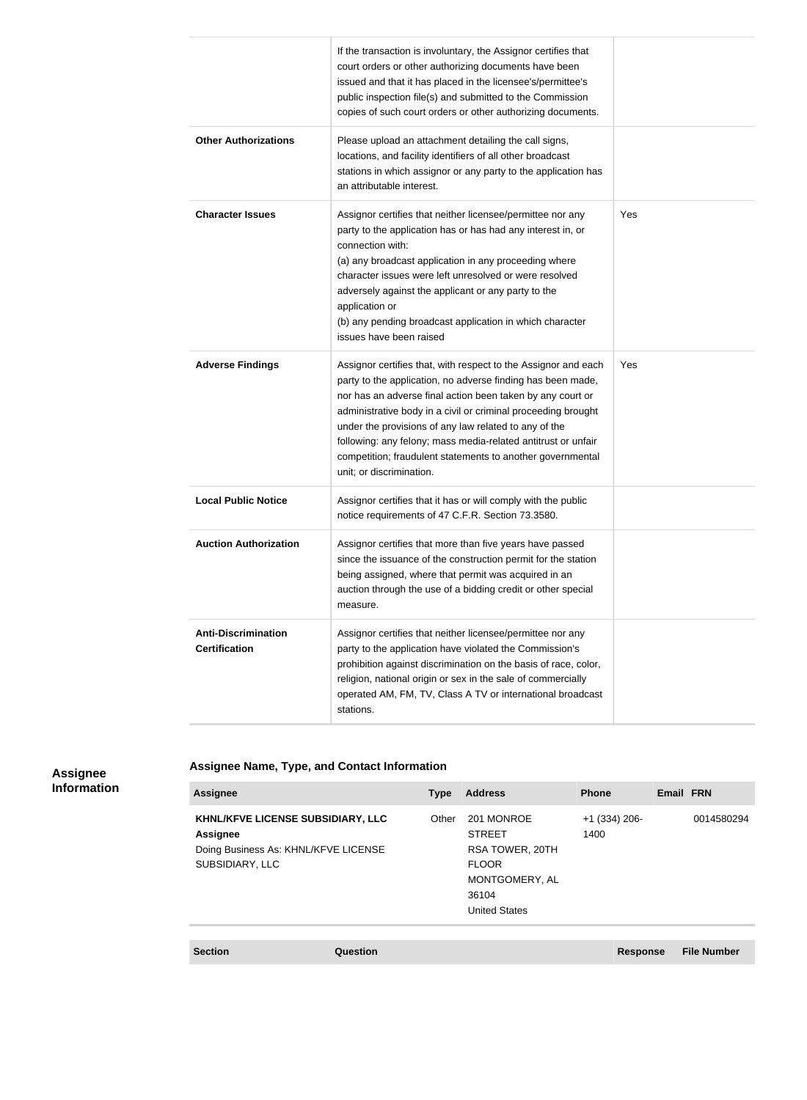|                                                    | If the transaction is involuntary, the Assignor certifies that<br>court orders or other authorizing documents have been<br>issued and that it has placed in the licensee's/permittee's<br>public inspection file(s) and submitted to the Commission<br>copies of such court orders or other authorizing documents.                                                                                                                                                               |     |
|----------------------------------------------------|----------------------------------------------------------------------------------------------------------------------------------------------------------------------------------------------------------------------------------------------------------------------------------------------------------------------------------------------------------------------------------------------------------------------------------------------------------------------------------|-----|
| <b>Other Authorizations</b>                        | Please upload an attachment detailing the call signs,<br>locations, and facility identifiers of all other broadcast<br>stations in which assignor or any party to the application has<br>an attributable interest.                                                                                                                                                                                                                                                               |     |
| <b>Character Issues</b>                            | Assignor certifies that neither licensee/permittee nor any<br>party to the application has or has had any interest in, or<br>connection with:<br>(a) any broadcast application in any proceeding where<br>character issues were left unresolved or were resolved<br>adversely against the applicant or any party to the<br>application or<br>(b) any pending broadcast application in which character<br>issues have been raised                                                 | Yes |
| <b>Adverse Findings</b>                            | Assignor certifies that, with respect to the Assignor and each<br>party to the application, no adverse finding has been made,<br>nor has an adverse final action been taken by any court or<br>administrative body in a civil or criminal proceeding brought<br>under the provisions of any law related to any of the<br>following: any felony; mass media-related antitrust or unfair<br>competition; fraudulent statements to another governmental<br>unit; or discrimination. | Yes |
| <b>Local Public Notice</b>                         | Assignor certifies that it has or will comply with the public<br>notice requirements of 47 C.F.R. Section 73.3580.                                                                                                                                                                                                                                                                                                                                                               |     |
| <b>Auction Authorization</b>                       | Assignor certifies that more than five years have passed<br>since the issuance of the construction permit for the station<br>being assigned, where that permit was acquired in an<br>auction through the use of a bidding credit or other special<br>measure.                                                                                                                                                                                                                    |     |
| <b>Anti-Discrimination</b><br><b>Certification</b> | Assignor certifies that neither licensee/permittee nor any<br>party to the application have violated the Commission's<br>prohibition against discrimination on the basis of race, color,<br>religion, national origin or sex in the sale of commercially<br>operated AM, FM, TV, Class A TV or international broadcast<br>stations.                                                                                                                                              |     |

### **Assignee Information**

## **Assignee Name, Type, and Contact Information**

| <b>Assignee</b>                                                                                                 | <b>Type</b> | <b>Address</b>                                                                                                    | <b>Phone</b>            | Email FRN |            |
|-----------------------------------------------------------------------------------------------------------------|-------------|-------------------------------------------------------------------------------------------------------------------|-------------------------|-----------|------------|
| KHNL/KFVE LICENSE SUBSIDIARY, LLC<br><b>Assignee</b><br>Doing Business As: KHNL/KFVE LICENSE<br>SUBSIDIARY, LLC | Other       | 201 MONROE<br><b>STREET</b><br>RSA TOWER, 20TH<br><b>FLOOR</b><br>MONTGOMERY, AL<br>36104<br><b>United States</b> | $+1$ (334) 206-<br>1400 |           | 0014580294 |
|                                                                                                                 |             |                                                                                                                   |                         |           |            |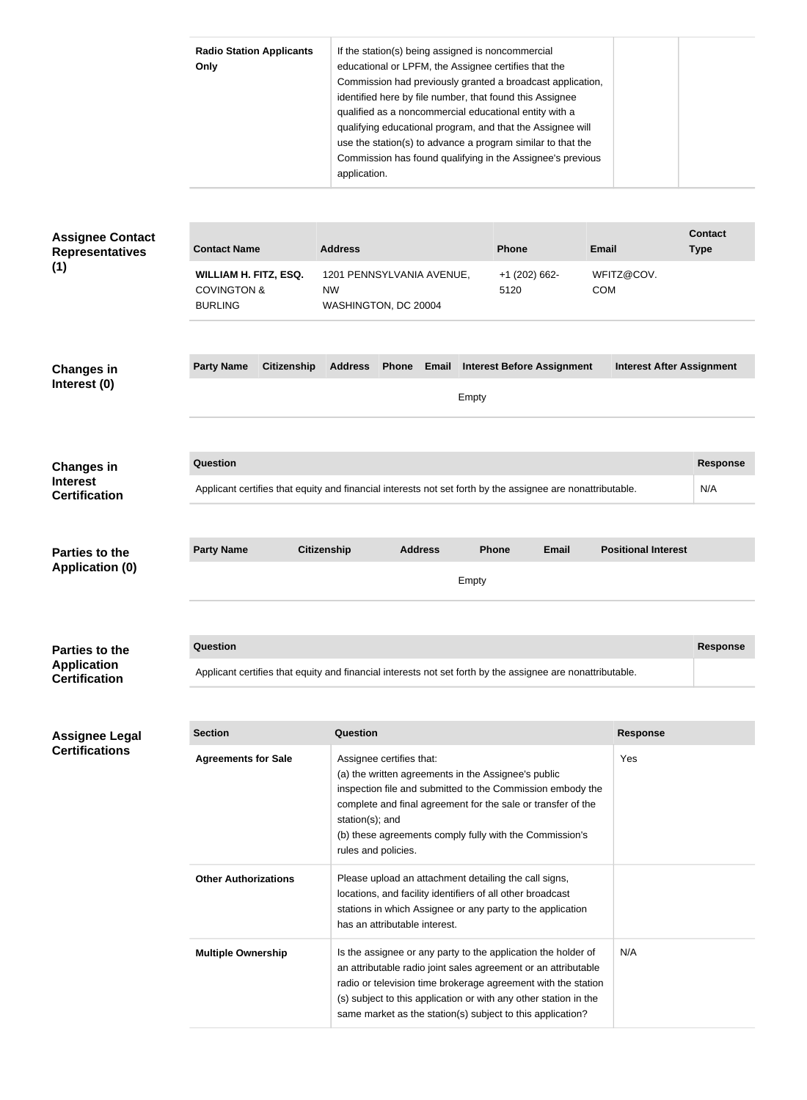|                                                                     | <b>Radio Station Applicants</b><br>Only                                                         | If the station(s) being assigned is noncommercial<br>educational or LPFM, the Assignee certifies that the<br>Commission had previously granted a broadcast application,<br>identified here by file number, that found this Assignee<br>qualified as a noncommercial educational entity with a<br>qualifying educational program, and that the Assignee will<br>use the station(s) to advance a program similar to that the<br>Commission has found qualifying in the Assignee's previous<br>application. |                                       |                                          |                        |
|---------------------------------------------------------------------|-------------------------------------------------------------------------------------------------|----------------------------------------------------------------------------------------------------------------------------------------------------------------------------------------------------------------------------------------------------------------------------------------------------------------------------------------------------------------------------------------------------------------------------------------------------------------------------------------------------------|---------------------------------------|------------------------------------------|------------------------|
| <b>Assignee Contact</b>                                             |                                                                                                 |                                                                                                                                                                                                                                                                                                                                                                                                                                                                                                          |                                       |                                          | <b>Contact</b>         |
| <b>Representatives</b><br>(1)                                       | <b>Contact Name</b><br><b>WILLIAM H. FITZ, ESQ.</b><br><b>COVINGTON &amp;</b><br><b>BURLING</b> | <b>Address</b><br>1201 PENNSYLVANIA AVENUE,<br><b>NW</b><br>WASHINGTON, DC 20004                                                                                                                                                                                                                                                                                                                                                                                                                         | <b>Phone</b><br>+1 (202) 662-<br>5120 | <b>Email</b><br>WFITZ@COV.<br><b>COM</b> | <b>Type</b>            |
| <b>Changes in</b><br>Interest (0)                                   | <b>Party Name</b><br><b>Citizenship</b>                                                         | <b>Address</b><br>Phone<br>Email                                                                                                                                                                                                                                                                                                                                                                                                                                                                         | <b>Interest Before Assignment</b>     | <b>Interest After Assignment</b>         |                        |
|                                                                     |                                                                                                 | Empty                                                                                                                                                                                                                                                                                                                                                                                                                                                                                                    |                                       |                                          |                        |
| <b>Changes in</b><br><b>Interest</b><br><b>Certification</b>        | <b>Question</b>                                                                                 | Applicant certifies that equity and financial interests not set forth by the assignee are nonattributable.                                                                                                                                                                                                                                                                                                                                                                                               |                                       |                                          | <b>Response</b><br>N/A |
| <b>Parties to the</b><br><b>Application (0)</b>                     | <b>Party Name</b>                                                                               | <b>Citizenship</b><br><b>Address</b><br>Empty                                                                                                                                                                                                                                                                                                                                                                                                                                                            | <b>Email</b><br><b>Phone</b>          | <b>Positional Interest</b>               |                        |
| <b>Parties to the</b><br><b>Application</b><br><b>Certification</b> | <b>Question</b>                                                                                 | Applicant certifies that equity and financial interests not set forth by the assignee are nonattributable.                                                                                                                                                                                                                                                                                                                                                                                               |                                       |                                          | <b>Response</b>        |
|                                                                     |                                                                                                 |                                                                                                                                                                                                                                                                                                                                                                                                                                                                                                          |                                       |                                          |                        |
| Assignee Legal<br><b>Certifications</b>                             | <b>Section</b>                                                                                  | <b>Question</b>                                                                                                                                                                                                                                                                                                                                                                                                                                                                                          |                                       | <b>Response</b>                          |                        |
|                                                                     | <b>Agreements for Sale</b>                                                                      | Assignee certifies that:<br>(a) the written agreements in the Assignee's public<br>inspection file and submitted to the Commission embody the<br>complete and final agreement for the sale or transfer of the<br>station(s); and<br>(b) these agreements comply fully with the Commission's<br>rules and policies.                                                                                                                                                                                       |                                       | Yes                                      |                        |
|                                                                     | <b>Other Authorizations</b>                                                                     | Please upload an attachment detailing the call signs,<br>locations, and facility identifiers of all other broadcast<br>stations in which Assignee or any party to the application<br>has an attributable interest.                                                                                                                                                                                                                                                                                       |                                       |                                          |                        |
|                                                                     | <b>Multiple Ownership</b>                                                                       | Is the assignee or any party to the application the holder of<br>an attributable radio joint sales agreement or an attributable<br>radio or television time brokerage agreement with the station<br>(s) subject to this application or with any other station in the<br>same market as the station(s) subject to this application?                                                                                                                                                                       |                                       | N/A                                      |                        |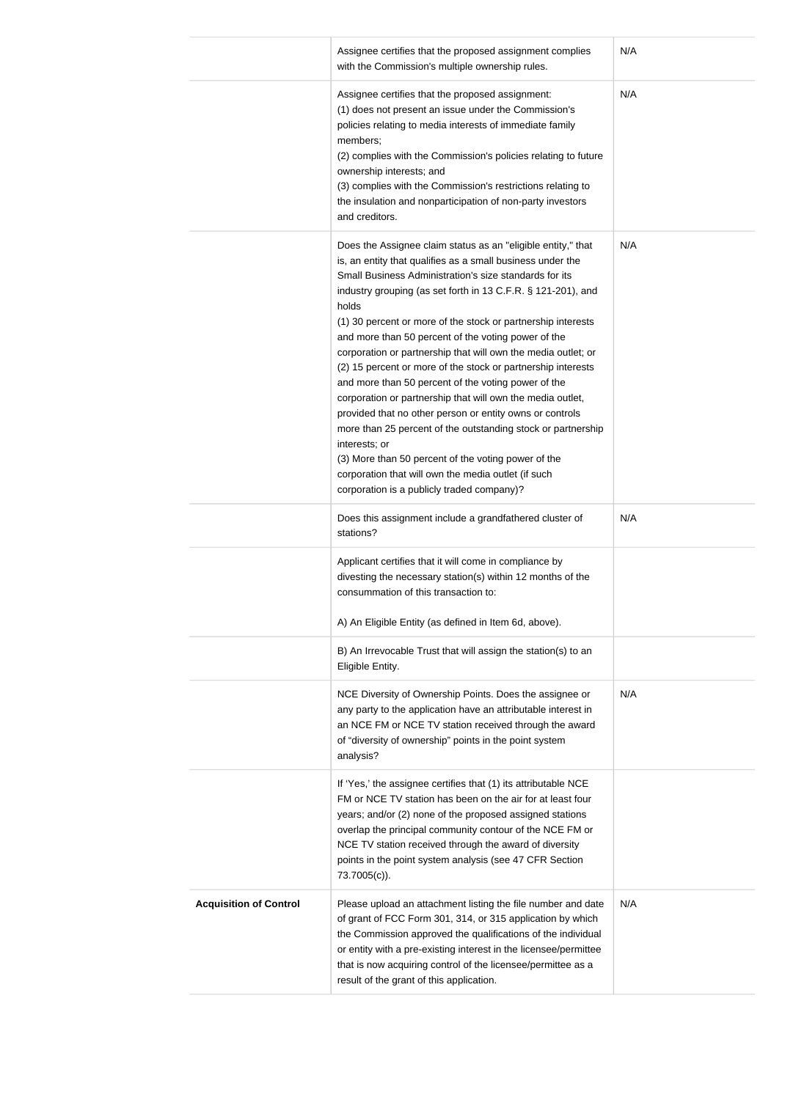|                               | Assignee certifies that the proposed assignment complies<br>with the Commission's multiple ownership rules.                                                                                                                                                                                                                                                                                                                                                                                                                                                                                                                                                                                                                                                                                                                                                                                                                                                                                                                                                                                                                                                                                 | N/A        |
|-------------------------------|---------------------------------------------------------------------------------------------------------------------------------------------------------------------------------------------------------------------------------------------------------------------------------------------------------------------------------------------------------------------------------------------------------------------------------------------------------------------------------------------------------------------------------------------------------------------------------------------------------------------------------------------------------------------------------------------------------------------------------------------------------------------------------------------------------------------------------------------------------------------------------------------------------------------------------------------------------------------------------------------------------------------------------------------------------------------------------------------------------------------------------------------------------------------------------------------|------------|
|                               | Assignee certifies that the proposed assignment:<br>(1) does not present an issue under the Commission's<br>policies relating to media interests of immediate family<br>members;<br>(2) complies with the Commission's policies relating to future<br>ownership interests; and<br>(3) complies with the Commission's restrictions relating to<br>the insulation and nonparticipation of non-party investors<br>and creditors.                                                                                                                                                                                                                                                                                                                                                                                                                                                                                                                                                                                                                                                                                                                                                               | N/A        |
|                               | Does the Assignee claim status as an "eligible entity," that<br>is, an entity that qualifies as a small business under the<br>Small Business Administration's size standards for its<br>industry grouping (as set forth in 13 C.F.R. § 121-201), and<br>holds<br>(1) 30 percent or more of the stock or partnership interests<br>and more than 50 percent of the voting power of the<br>corporation or partnership that will own the media outlet; or<br>(2) 15 percent or more of the stock or partnership interests<br>and more than 50 percent of the voting power of the<br>corporation or partnership that will own the media outlet,<br>provided that no other person or entity owns or controls<br>more than 25 percent of the outstanding stock or partnership<br>interests; or<br>(3) More than 50 percent of the voting power of the<br>corporation that will own the media outlet (if such<br>corporation is a publicly traded company)?<br>Does this assignment include a grandfathered cluster of<br>stations?<br>Applicant certifies that it will come in compliance by<br>divesting the necessary station(s) within 12 months of the<br>consummation of this transaction to: | N/A<br>N/A |
|                               | A) An Eligible Entity (as defined in Item 6d, above).                                                                                                                                                                                                                                                                                                                                                                                                                                                                                                                                                                                                                                                                                                                                                                                                                                                                                                                                                                                                                                                                                                                                       |            |
|                               | B) An Irrevocable Trust that will assign the station(s) to an<br>Eligible Entity.                                                                                                                                                                                                                                                                                                                                                                                                                                                                                                                                                                                                                                                                                                                                                                                                                                                                                                                                                                                                                                                                                                           |            |
|                               | NCE Diversity of Ownership Points. Does the assignee or<br>any party to the application have an attributable interest in<br>an NCE FM or NCE TV station received through the award<br>of "diversity of ownership" points in the point system<br>analysis?                                                                                                                                                                                                                                                                                                                                                                                                                                                                                                                                                                                                                                                                                                                                                                                                                                                                                                                                   | N/A        |
|                               | If 'Yes,' the assignee certifies that (1) its attributable NCE<br>FM or NCE TV station has been on the air for at least four<br>years; and/or (2) none of the proposed assigned stations<br>overlap the principal community contour of the NCE FM or<br>NCE TV station received through the award of diversity<br>points in the point system analysis (see 47 CFR Section<br>73.7005(c)).                                                                                                                                                                                                                                                                                                                                                                                                                                                                                                                                                                                                                                                                                                                                                                                                   |            |
| <b>Acquisition of Control</b> | Please upload an attachment listing the file number and date<br>of grant of FCC Form 301, 314, or 315 application by which<br>the Commission approved the qualifications of the individual<br>or entity with a pre-existing interest in the licensee/permittee<br>that is now acquiring control of the licensee/permittee as a<br>result of the grant of this application.                                                                                                                                                                                                                                                                                                                                                                                                                                                                                                                                                                                                                                                                                                                                                                                                                  | N/A        |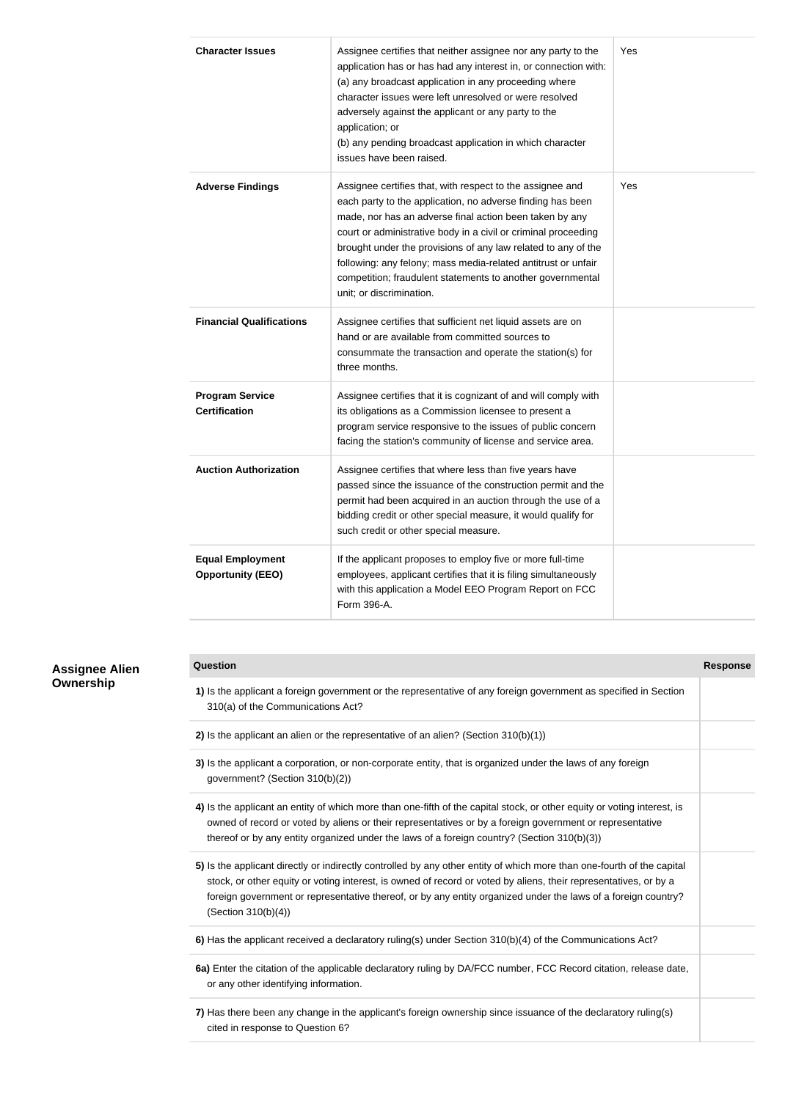| <b>Character Issues</b>                             | Assignee certifies that neither assignee nor any party to the<br>application has or has had any interest in, or connection with:<br>(a) any broadcast application in any proceeding where<br>character issues were left unresolved or were resolved<br>adversely against the applicant or any party to the<br>application; or<br>(b) any pending broadcast application in which character<br>issues have been raised.                                                            | Yes |
|-----------------------------------------------------|----------------------------------------------------------------------------------------------------------------------------------------------------------------------------------------------------------------------------------------------------------------------------------------------------------------------------------------------------------------------------------------------------------------------------------------------------------------------------------|-----|
| <b>Adverse Findings</b>                             | Assignee certifies that, with respect to the assignee and<br>each party to the application, no adverse finding has been<br>made, nor has an adverse final action been taken by any<br>court or administrative body in a civil or criminal proceeding<br>brought under the provisions of any law related to any of the<br>following: any felony; mass media-related antitrust or unfair<br>competition; fraudulent statements to another governmental<br>unit; or discrimination. | Yes |
| <b>Financial Qualifications</b>                     | Assignee certifies that sufficient net liquid assets are on<br>hand or are available from committed sources to<br>consummate the transaction and operate the station(s) for<br>three months.                                                                                                                                                                                                                                                                                     |     |
| <b>Program Service</b><br><b>Certification</b>      | Assignee certifies that it is cognizant of and will comply with<br>its obligations as a Commission licensee to present a<br>program service responsive to the issues of public concern<br>facing the station's community of license and service area.                                                                                                                                                                                                                            |     |
| <b>Auction Authorization</b>                        | Assignee certifies that where less than five years have<br>passed since the issuance of the construction permit and the<br>permit had been acquired in an auction through the use of a<br>bidding credit or other special measure, it would qualify for<br>such credit or other special measure.                                                                                                                                                                                 |     |
| <b>Equal Employment</b><br><b>Opportunity (EEO)</b> | If the applicant proposes to employ five or more full-time<br>employees, applicant certifies that it is filing simultaneously<br>with this application a Model EEO Program Report on FCC<br>Form 396-A.                                                                                                                                                                                                                                                                          |     |

## **Assignee Alien Ownership**

| 1) Is the applicant a foreign government or the representative of any foreign government as specified in Section<br>310(a) of the Communications Act?                                                                                                                                                                                                                              |  |
|------------------------------------------------------------------------------------------------------------------------------------------------------------------------------------------------------------------------------------------------------------------------------------------------------------------------------------------------------------------------------------|--|
| 2) Is the applicant an alien or the representative of an alien? (Section $310(b)(1)$ )                                                                                                                                                                                                                                                                                             |  |
| 3) Is the applicant a corporation, or non-corporate entity, that is organized under the laws of any foreign<br>government? (Section 310(b)(2))                                                                                                                                                                                                                                     |  |
| 4) Is the applicant an entity of which more than one-fifth of the capital stock, or other equity or voting interest, is<br>owned of record or voted by aliens or their representatives or by a foreign government or representative<br>thereof or by any entity organized under the laws of a foreign country? (Section 310(b)(3))                                                 |  |
| 5) Is the applicant directly or indirectly controlled by any other entity of which more than one-fourth of the capital<br>stock, or other equity or voting interest, is owned of record or voted by aliens, their representatives, or by a<br>foreign government or representative thereof, or by any entity organized under the laws of a foreign country?<br>(Section 310(b)(4)) |  |
| 6) Has the applicant received a declaratory ruling(s) under Section 310(b)(4) of the Communications Act?                                                                                                                                                                                                                                                                           |  |
| 6a) Enter the citation of the applicable declaratory ruling by DA/FCC number, FCC Record citation, release date,<br>or any other identifying information.                                                                                                                                                                                                                          |  |
| 7) Has there been any change in the applicant's foreign ownership since issuance of the declaratory ruling(s)<br>cited in response to Question 6?                                                                                                                                                                                                                                  |  |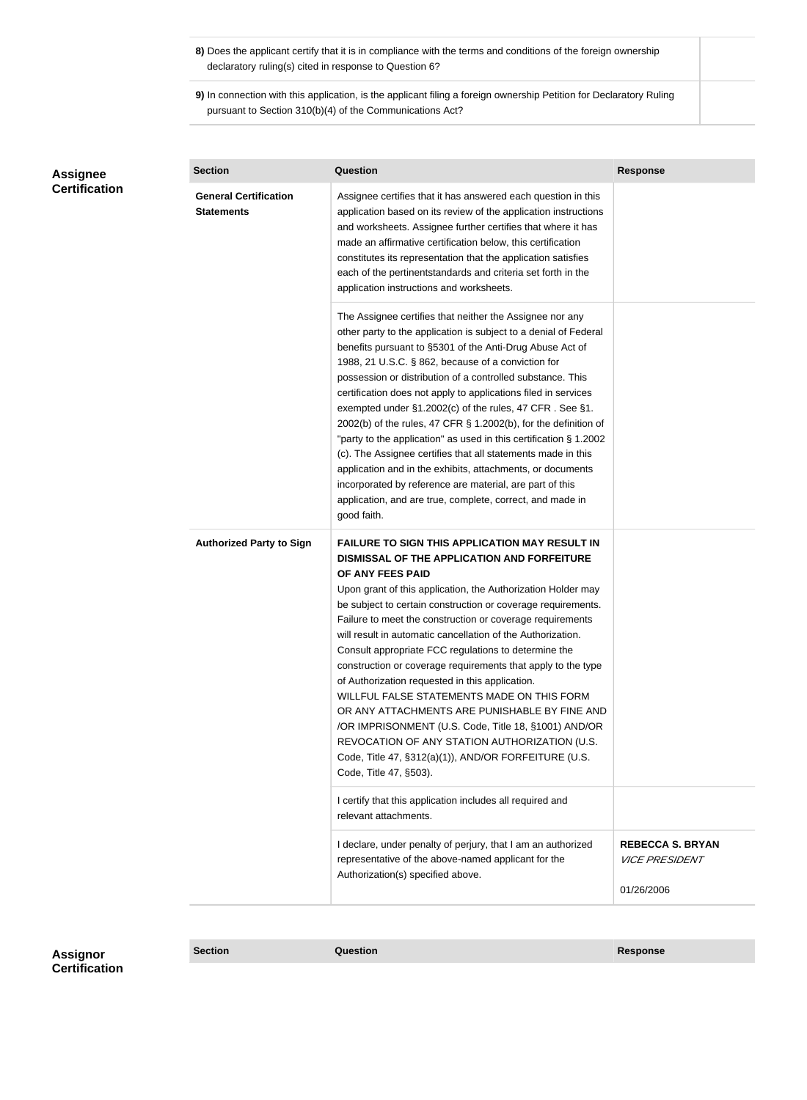- **8)** Does the applicant certify that it is in compliance with the terms and conditions of the foreign ownership declaratory ruling(s) cited in response to Question 6?
- **9)** In connection with this application, is the applicant filing a foreign ownership Petition for Declaratory Ruling pursuant to Section 310(b)(4) of the Communications Act?

| Assignee<br><b>Certification</b> | <b>Section</b>                                    | <b>Question</b>                                                                                                                                                                                                                                                                                                                                                                                                                                                                                                                                                                                                                                                                                                                                                                                                                                           | <b>Response</b>                                                       |
|----------------------------------|---------------------------------------------------|-----------------------------------------------------------------------------------------------------------------------------------------------------------------------------------------------------------------------------------------------------------------------------------------------------------------------------------------------------------------------------------------------------------------------------------------------------------------------------------------------------------------------------------------------------------------------------------------------------------------------------------------------------------------------------------------------------------------------------------------------------------------------------------------------------------------------------------------------------------|-----------------------------------------------------------------------|
|                                  | <b>General Certification</b><br><b>Statements</b> | Assignee certifies that it has answered each question in this<br>application based on its review of the application instructions<br>and worksheets. Assignee further certifies that where it has<br>made an affirmative certification below, this certification<br>constitutes its representation that the application satisfies<br>each of the pertinentstandards and criteria set forth in the<br>application instructions and worksheets.                                                                                                                                                                                                                                                                                                                                                                                                              |                                                                       |
|                                  |                                                   | The Assignee certifies that neither the Assignee nor any<br>other party to the application is subject to a denial of Federal<br>benefits pursuant to §5301 of the Anti-Drug Abuse Act of<br>1988, 21 U.S.C. § 862, because of a conviction for<br>possession or distribution of a controlled substance. This<br>certification does not apply to applications filed in services<br>exempted under §1.2002(c) of the rules, 47 CFR. See §1.<br>2002(b) of the rules, 47 CFR § 1.2002(b), for the definition of<br>"party to the application" as used in this certification § 1.2002<br>(c). The Assignee certifies that all statements made in this<br>application and in the exhibits, attachments, or documents<br>incorporated by reference are material, are part of this<br>application, and are true, complete, correct, and made in<br>good faith.   |                                                                       |
|                                  | <b>Authorized Party to Sign</b>                   | <b>FAILURE TO SIGN THIS APPLICATION MAY RESULT IN</b><br>DISMISSAL OF THE APPLICATION AND FORFEITURE<br>OF ANY FEES PAID<br>Upon grant of this application, the Authorization Holder may<br>be subject to certain construction or coverage requirements.<br>Failure to meet the construction or coverage requirements<br>will result in automatic cancellation of the Authorization.<br>Consult appropriate FCC regulations to determine the<br>construction or coverage requirements that apply to the type<br>of Authorization requested in this application.<br>WILLFUL FALSE STATEMENTS MADE ON THIS FORM<br>OR ANY ATTACHMENTS ARE PUNISHABLE BY FINE AND<br>/OR IMPRISONMENT (U.S. Code, Title 18, §1001) AND/OR<br>REVOCATION OF ANY STATION AUTHORIZATION (U.S.<br>Code, Title 47, §312(a)(1)), AND/OR FORFEITURE (U.S.<br>Code, Title 47, §503). |                                                                       |
|                                  |                                                   | I certify that this application includes all required and<br>relevant attachments.                                                                                                                                                                                                                                                                                                                                                                                                                                                                                                                                                                                                                                                                                                                                                                        |                                                                       |
|                                  |                                                   | I declare, under penalty of perjury, that I am an authorized<br>representative of the above-named applicant for the<br>Authorization(s) specified above.                                                                                                                                                                                                                                                                                                                                                                                                                                                                                                                                                                                                                                                                                                  | <b>REBECCA S. BRYAN</b><br><i><b>VICE PRESIDENT</b></i><br>01/26/2006 |